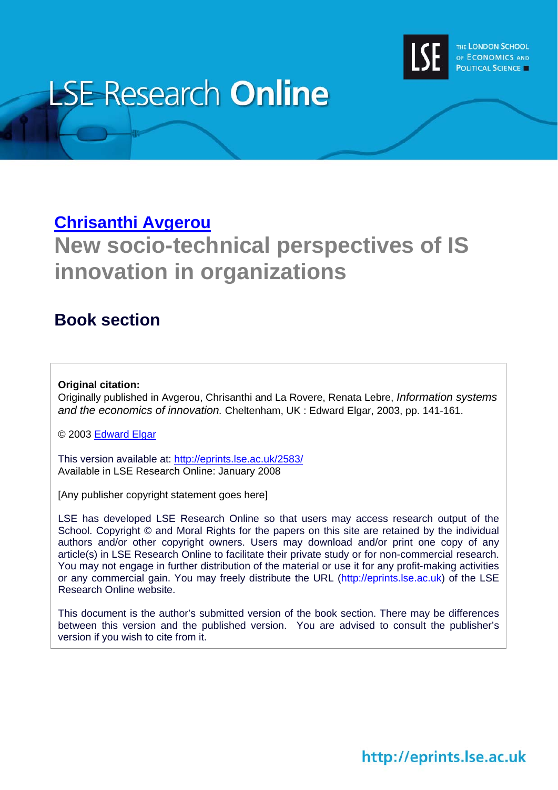

# **LSE Research Online**

# **[Chrisanthi Avgerou](http://www.lse.ac.uk/people/c.avgerou@lse.ac.uk/)**

# **New socio-technical perspectives of IS innovation in organizations**

# **Book section**

#### **Original citation:**

Originally published in Avgerou, Chrisanthi and La Rovere, Renata Lebre, *Information systems and the economics of innovation.* Cheltenham, UK : Edward Elgar, 2003, pp. 141-161.

© 2003 [Edward Elgar](http://www.e-elgar.co.uk/)

This version available at: <http://eprints.lse.ac.uk/2583/> Available in LSE Research Online: January 2008

[Any publisher copyright statement goes here]

LSE has developed LSE Research Online so that users may access research output of the School. Copyright © and Moral Rights for the papers on this site are retained by the individual authors and/or other copyright owners. Users may download and/or print one copy of any article(s) in LSE Research Online to facilitate their private study or for non-commercial research. You may not engage in further distribution of the material or use it for any profit-making activities or any commercial gain. You may freely distribute the URL (http://eprints.lse.ac.uk) of the LSE Research Online website.

This document is the author's submitted version of the book section. There may be differences between this version and the published version. You are advised to consult the publisher's version if you wish to cite from it.

http://eprints.lse.ac.uk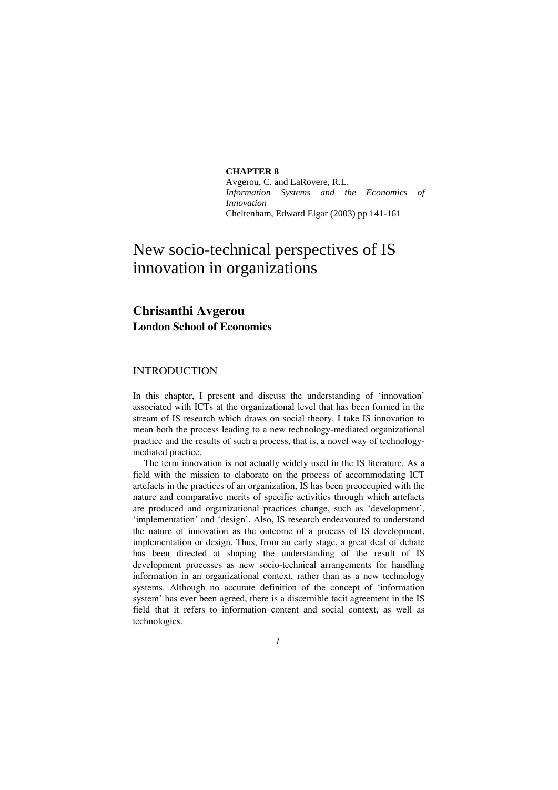**CHAPTER 8**  Avgerou, C. and LaRovere, R.L. *Information Systems and the Economics of* 

Cheltenham, Edward Elgar (2003) pp 141-161

### New socio-technical perspectives of IS innovation in organizations

*Innovation* 

#### **Chrisanthi Avgerou London School of Economics**

#### INTRODUCTION

In this chapter, I present and discuss the understanding of 'innovation' associated with ICTs at the organizational level that has been formed in the stream of IS research which draws on social theory. I take IS innovation to mean both the process leading to a new technology-mediated organizational practice and the results of such a process, that is, a novel way of technologymediated practice.

 The term innovation is not actually widely used in the IS literature. As a field with the mission to elaborate on the process of accommodating ICT artefacts in the practices of an organization, IS has been preoccupied with the nature and comparative merits of specific activities through which artefacts are produced and organizational practices change, such as 'development', 'implementation' and 'design'. Also, IS research endeavoured to understand the nature of innovation as the outcome of a process of IS development, implementation or design. Thus, from an early stage, a great deal of debate has been directed at shaping the understanding of the result of IS development processes as new socio-technical arrangements for handling information in an organizational context, rather than as a new technology systems. Although no accurate definition of the concept of 'information system' has ever been agreed, there is a discernible tacit agreement in the IS field that it refers to information content and social context, as well as technologies.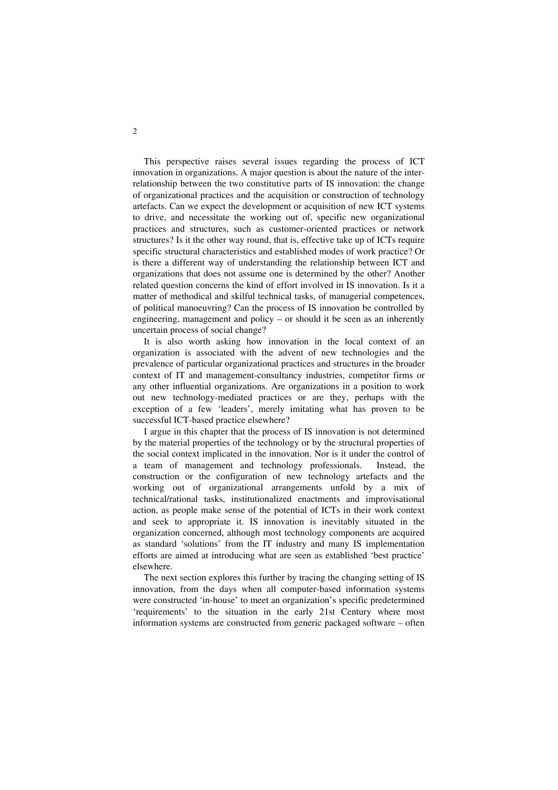This perspective raises several issues regarding the process of ICT innovation in organizations. A major question is about the nature of the interrelationship between the two constitutive parts of IS innovation: the change of organizational practices and the acquisition or construction of technology artefacts. Can we expect the development or acquisition of new ICT systems to drive, and necessitate the working out of, specific new organizational practices and structures, such as customer-oriented practices or network structures? Is it the other way round, that is, effective take up of ICTs require specific structural characteristics and established modes of work practice? Or is there a different way of understanding the relationship between ICT and organizations that does not assume one is determined by the other? Another related question concerns the kind of effort involved in IS innovation. Is it a matter of methodical and skilful technical tasks, of managerial competences, of political manoeuvring? Can the process of IS innovation be controlled by engineering, management and policy – or should it be seen as an inherently uncertain process of social change?

 It is also worth asking how innovation in the local context of an organization is associated with the advent of new technologies and the prevalence of particular organizational practices and structures in the broader context of IT and management-consultancy industries, competitor firms or any other influential organizations. Are organizations in a position to work out new technology-mediated practices or are they, perhaps with the exception of a few 'leaders', merely imitating what has proven to be successful ICT-based practice elsewhere?

 I argue in this chapter that the process of IS innovation is not determined by the material properties of the technology or by the structural properties of the social context implicated in the innovation. Nor is it under the control of a team of management and technology professionals. Instead, the construction or the configuration of new technology artefacts and the working out of organizational arrangements unfold by a mix of technical/rational tasks, institutionalized enactments and improvisational action, as people make sense of the potential of ICTs in their work context and seek to appropriate it. IS innovation is inevitably situated in the organization concerned, although most technology components are acquired as standard 'solutions' from the IT industry and many IS implementation efforts are aimed at introducing what are seen as established 'best practice' elsewhere.

 The next section explores this further by tracing the changing setting of IS innovation, from the days when all computer-based information systems were constructed 'in-house' to meet an organization's specific predetermined 'requirements' to the situation in the early 21st Century where most information systems are constructed from generic packaged software – often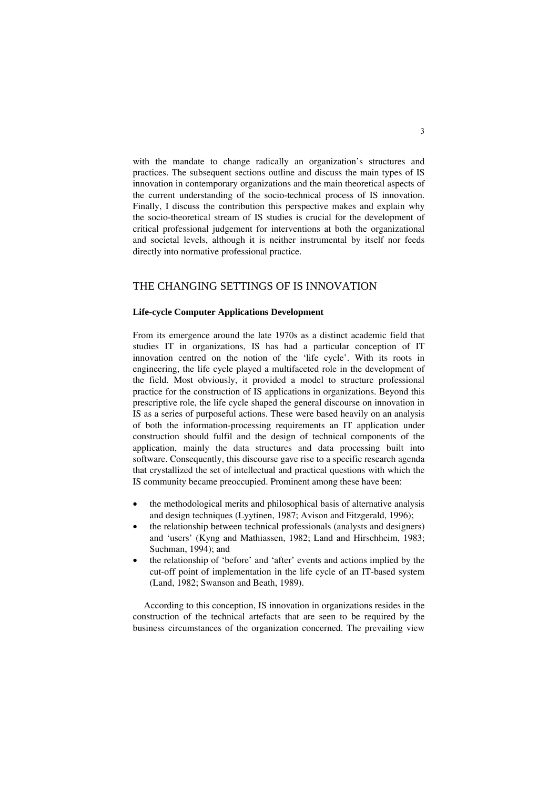with the mandate to change radically an organization's structures and practices. The subsequent sections outline and discuss the main types of IS innovation in contemporary organizations and the main theoretical aspects of the current understanding of the socio-technical process of IS innovation. Finally, I discuss the contribution this perspective makes and explain why the socio-theoretical stream of IS studies is crucial for the development of critical professional judgement for interventions at both the organizational and societal levels, although it is neither instrumental by itself nor feeds directly into normative professional practice.

#### THE CHANGING SETTINGS OF IS INNOVATION

#### **Life-cycle Computer Applications Development**

From its emergence around the late 1970s as a distinct academic field that studies IT in organizations, IS has had a particular conception of IT innovation centred on the notion of the 'life cycle'. With its roots in engineering, the life cycle played a multifaceted role in the development of the field. Most obviously, it provided a model to structure professional practice for the construction of IS applications in organizations. Beyond this prescriptive role, the life cycle shaped the general discourse on innovation in IS as a series of purposeful actions. These were based heavily on an analysis of both the information-processing requirements an IT application under construction should fulfil and the design of technical components of the application, mainly the data structures and data processing built into software. Consequently, this discourse gave rise to a specific research agenda that crystallized the set of intellectual and practical questions with which the IS community became preoccupied. Prominent among these have been:

- the methodological merits and philosophical basis of alternative analysis and design techniques (Lyytinen, 1987; Avison and Fitzgerald, 1996);
- the relationship between technical professionals (analysts and designers) and 'users' (Kyng and Mathiassen, 1982; Land and Hirschheim, 1983; Suchman, 1994); and
- the relationship of 'before' and 'after' events and actions implied by the cut-off point of implementation in the life cycle of an IT-based system (Land, 1982; Swanson and Beath, 1989).

 According to this conception, IS innovation in organizations resides in the construction of the technical artefacts that are seen to be required by the business circumstances of the organization concerned. The prevailing view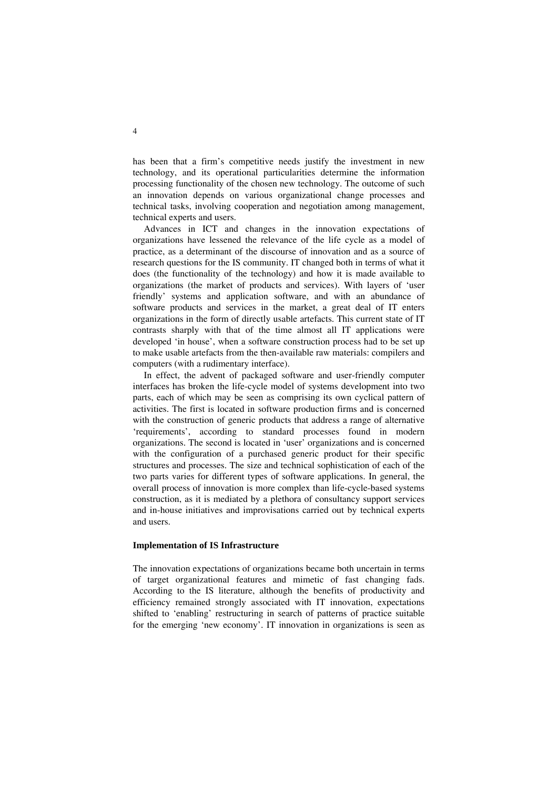has been that a firm's competitive needs justify the investment in new technology, and its operational particularities determine the information processing functionality of the chosen new technology. The outcome of such an innovation depends on various organizational change processes and technical tasks, involving cooperation and negotiation among management, technical experts and users.

 Advances in ICT and changes in the innovation expectations of organizations have lessened the relevance of the life cycle as a model of practice, as a determinant of the discourse of innovation and as a source of research questions for the IS community. IT changed both in terms of what it does (the functionality of the technology) and how it is made available to organizations (the market of products and services). With layers of 'user friendly' systems and application software, and with an abundance of software products and services in the market, a great deal of IT enters organizations in the form of directly usable artefacts. This current state of IT contrasts sharply with that of the time almost all IT applications were developed 'in house', when a software construction process had to be set up to make usable artefacts from the then-available raw materials: compilers and computers (with a rudimentary interface).

 In effect, the advent of packaged software and user-friendly computer interfaces has broken the life-cycle model of systems development into two parts, each of which may be seen as comprising its own cyclical pattern of activities. The first is located in software production firms and is concerned with the construction of generic products that address a range of alternative 'requirements', according to standard processes found in modern organizations. The second is located in 'user' organizations and is concerned with the configuration of a purchased generic product for their specific structures and processes. The size and technical sophistication of each of the two parts varies for different types of software applications. In general, the overall process of innovation is more complex than life-cycle-based systems construction, as it is mediated by a plethora of consultancy support services and in-house initiatives and improvisations carried out by technical experts and users.

#### **Implementation of IS Infrastructure**

The innovation expectations of organizations became both uncertain in terms of target organizational features and mimetic of fast changing fads. According to the IS literature, although the benefits of productivity and efficiency remained strongly associated with IT innovation, expectations shifted to 'enabling' restructuring in search of patterns of practice suitable for the emerging 'new economy'. IT innovation in organizations is seen as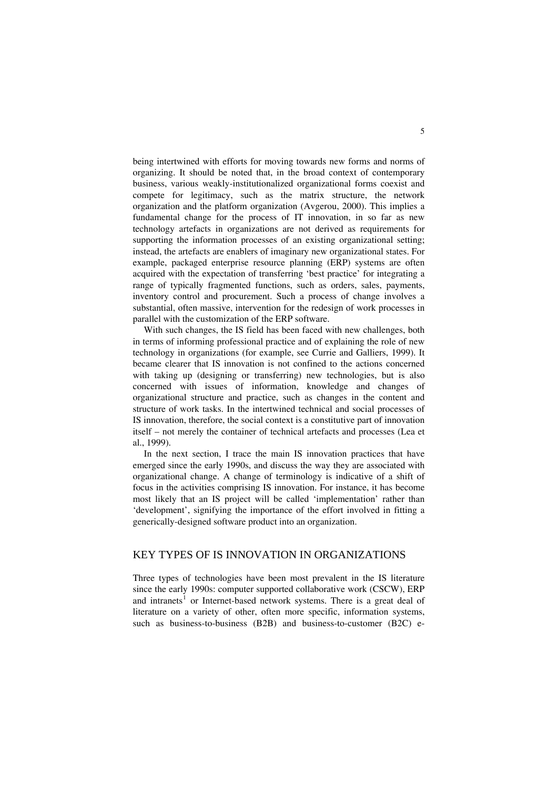being intertwined with efforts for moving towards new forms and norms of organizing. It should be noted that, in the broad context of contemporary business, various weakly-institutionalized organizational forms coexist and compete for legitimacy, such as the matrix structure, the network organization and the platform organization (Avgerou, 2000). This implies a fundamental change for the process of IT innovation, in so far as new technology artefacts in organizations are not derived as requirements for supporting the information processes of an existing organizational setting; instead, the artefacts are enablers of imaginary new organizational states. For example, packaged enterprise resource planning (ERP) systems are often acquired with the expectation of transferring 'best practice' for integrating a range of typically fragmented functions, such as orders, sales, payments, inventory control and procurement. Such a process of change involves a substantial, often massive, intervention for the redesign of work processes in parallel with the customization of the ERP software.

 With such changes, the IS field has been faced with new challenges, both in terms of informing professional practice and of explaining the role of new technology in organizations (for example, see Currie and Galliers, 1999). It became clearer that IS innovation is not confined to the actions concerned with taking up (designing or transferring) new technologies, but is also concerned with issues of information, knowledge and changes of organizational structure and practice, such as changes in the content and structure of work tasks. In the intertwined technical and social processes of IS innovation, therefore, the social context is a constitutive part of innovation itself – not merely the container of technical artefacts and processes (Lea et al., 1999).

 In the next section, I trace the main IS innovation practices that have emerged since the early 1990s, and discuss the way they are associated with organizational change. A change of terminology is indicative of a shift of focus in the activities comprising IS innovation. For instance, it has become most likely that an IS project will be called 'implementation' rather than 'development', signifying the importance of the effort involved in fitting a generically-designed software product into an organization.

#### KEY TYPES OF IS INNOVATION IN ORGANIZATIONS

Three types of technologies have been most prevalent in the IS literature since the early 1990s: computer supported collaborative work (CSCW), ERP and intranets<sup>[1](#page-21-0)</sup> or Internet-based network systems. There is a great deal of literature on a variety of other, often more specific, information systems, such as business-to-business (B2B) and business-to-customer (B2C) e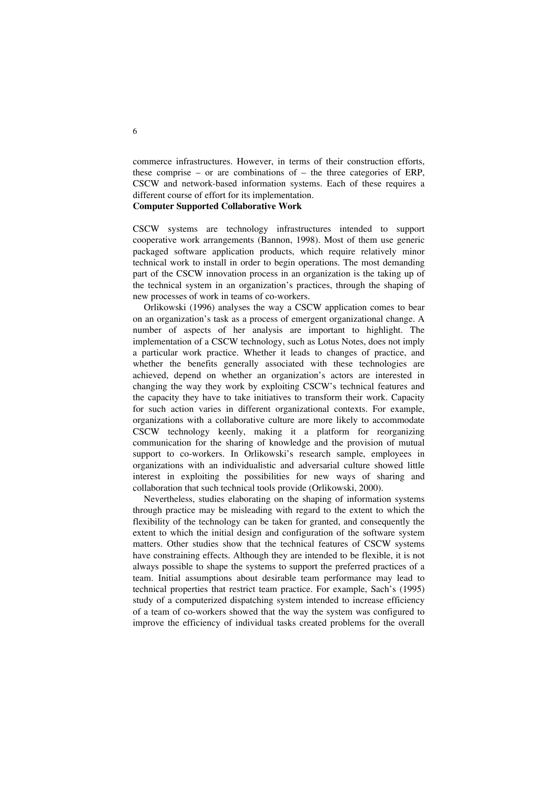commerce infrastructures. However, in terms of their construction efforts, these comprise – or are combinations of – the three categories of ERP, CSCW and network-based information systems. Each of these requires a different course of effort for its implementation.

#### **Computer Supported Collaborative Work**

CSCW systems are technology infrastructures intended to support cooperative work arrangements (Bannon, 1998). Most of them use generic packaged software application products, which require relatively minor technical work to install in order to begin operations. The most demanding part of the CSCW innovation process in an organization is the taking up of the technical system in an organization's practices, through the shaping of new processes of work in teams of co-workers.

 Orlikowski (1996) analyses the way a CSCW application comes to bear on an organization's task as a process of emergent organizational change. A number of aspects of her analysis are important to highlight. The implementation of a CSCW technology, such as Lotus Notes, does not imply a particular work practice. Whether it leads to changes of practice, and whether the benefits generally associated with these technologies are achieved, depend on whether an organization's actors are interested in changing the way they work by exploiting CSCW's technical features and the capacity they have to take initiatives to transform their work. Capacity for such action varies in different organizational contexts. For example, organizations with a collaborative culture are more likely to accommodate CSCW technology keenly, making it a platform for reorganizing communication for the sharing of knowledge and the provision of mutual support to co-workers. In Orlikowski's research sample, employees in organizations with an individualistic and adversarial culture showed little interest in exploiting the possibilities for new ways of sharing and collaboration that such technical tools provide (Orlikowski, 2000).

 Nevertheless, studies elaborating on the shaping of information systems through practice may be misleading with regard to the extent to which the flexibility of the technology can be taken for granted, and consequently the extent to which the initial design and configuration of the software system matters. Other studies show that the technical features of CSCW systems have constraining effects. Although they are intended to be flexible, it is not always possible to shape the systems to support the preferred practices of a team. Initial assumptions about desirable team performance may lead to technical properties that restrict team practice. For example, Sach's (1995) study of a computerized dispatching system intended to increase efficiency of a team of co-workers showed that the way the system was configured to improve the efficiency of individual tasks created problems for the overall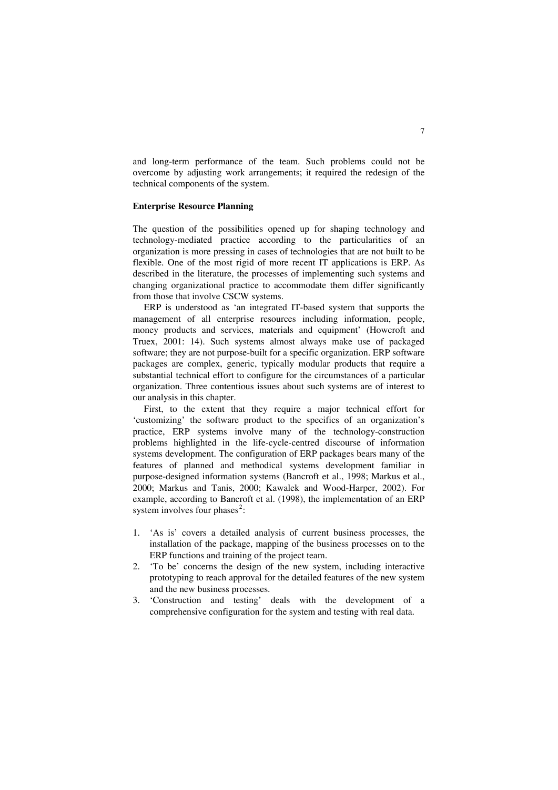and long-term performance of the team. Such problems could not be overcome by adjusting work arrangements; it required the redesign of the technical components of the system.

#### **Enterprise Resource Planning**

The question of the possibilities opened up for shaping technology and technology-mediated practice according to the particularities of an organization is more pressing in cases of technologies that are not built to be flexible. One of the most rigid of more recent IT applications is ERP. As described in the literature, the processes of implementing such systems and changing organizational practice to accommodate them differ significantly from those that involve CSCW systems.

 ERP is understood as 'an integrated IT-based system that supports the management of all enterprise resources including information, people, money products and services, materials and equipment' (Howcroft and Truex, 2001: 14). Such systems almost always make use of packaged software; they are not purpose-built for a specific organization. ERP software packages are complex, generic, typically modular products that require a substantial technical effort to configure for the circumstances of a particular organization. Three contentious issues about such systems are of interest to our analysis in this chapter.

 First, to the extent that they require a major technical effort for 'customizing' the software product to the specifics of an organization's practice, ERP systems involve many of the technology-construction problems highlighted in the life-cycle-centred discourse of information systems development. The configuration of ERP packages bears many of the features of planned and methodical systems development familiar in purpose-designed information systems (Bancroft et al., 1998; Markus et al., 2000; Markus and Tanis, 2000; Kawalek and Wood-Harper, 2002). For example, according to Bancroft et al. (1998), the implementation of an ERP system involves four phases<sup>[2](#page-21-1)</sup>:

- 1. 'As is' covers a detailed analysis of current business processes, the installation of the package, mapping of the business processes on to the ERP functions and training of the project team.
- 2. 'To be' concerns the design of the new system, including interactive prototyping to reach approval for the detailed features of the new system and the new business processes.
- 3. 'Construction and testing' deals with the development of a comprehensive configuration for the system and testing with real data.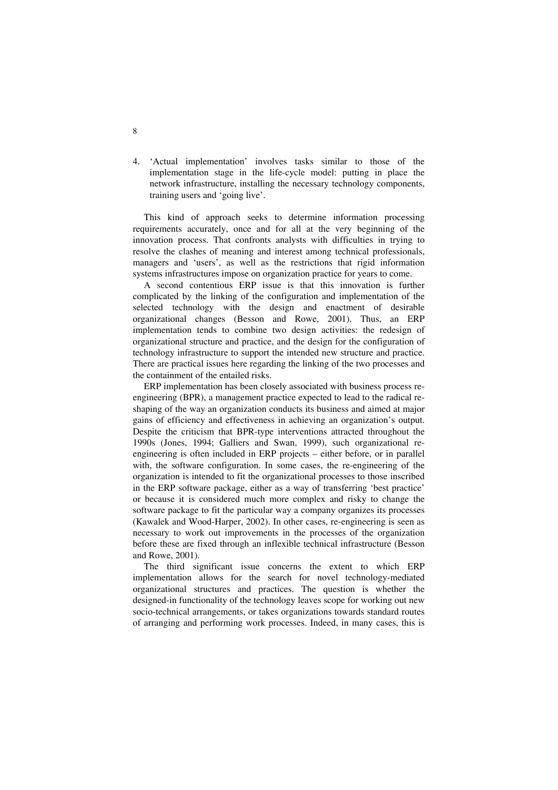4. 'Actual implementation' involves tasks similar to those of the implementation stage in the life-cycle model: putting in place the network infrastructure, installing the necessary technology components, training users and 'going live'.

 This kind of approach seeks to determine information processing requirements accurately, once and for all at the very beginning of the innovation process. That confronts analysts with difficulties in trying to resolve the clashes of meaning and interest among technical professionals, managers and 'users', as well as the restrictions that rigid information systems infrastructures impose on organization practice for years to come.

 A second contentious ERP issue is that this innovation is further complicated by the linking of the configuration and implementation of the selected technology with the design and enactment of desirable organizational changes (Besson and Rowe, 2001). Thus, an ERP implementation tends to combine two design activities: the redesign of organizational structure and practice, and the design for the configuration of technology infrastructure to support the intended new structure and practice. There are practical issues here regarding the linking of the two processes and the containment of the entailed risks.

 ERP implementation has been closely associated with business process reengineering (BPR), a management practice expected to lead to the radical reshaping of the way an organization conducts its business and aimed at major gains of efficiency and effectiveness in achieving an organization's output. Despite the criticism that BPR-type interventions attracted throughout the 1990s (Jones, 1994; Galliers and Swan, 1999), such organizational reengineering is often included in ERP projects – either before, or in parallel with, the software configuration. In some cases, the re-engineering of the organization is intended to fit the organizational processes to those inscribed in the ERP software package, either as a way of transferring 'best practice' or because it is considered much more complex and risky to change the software package to fit the particular way a company organizes its processes (Kawalek and Wood-Harper, 2002). In other cases, re-engineering is seen as necessary to work out improvements in the processes of the organization before these are fixed through an inflexible technical infrastructure (Besson and Rowe, 2001).

 The third significant issue concerns the extent to which ERP implementation allows for the search for novel technology-mediated organizational structures and practices. The question is whether the designed-in functionality of the technology leaves scope for working out new socio-technical arrangements, or takes organizations towards standard routes of arranging and performing work processes. Indeed, in many cases, this is

8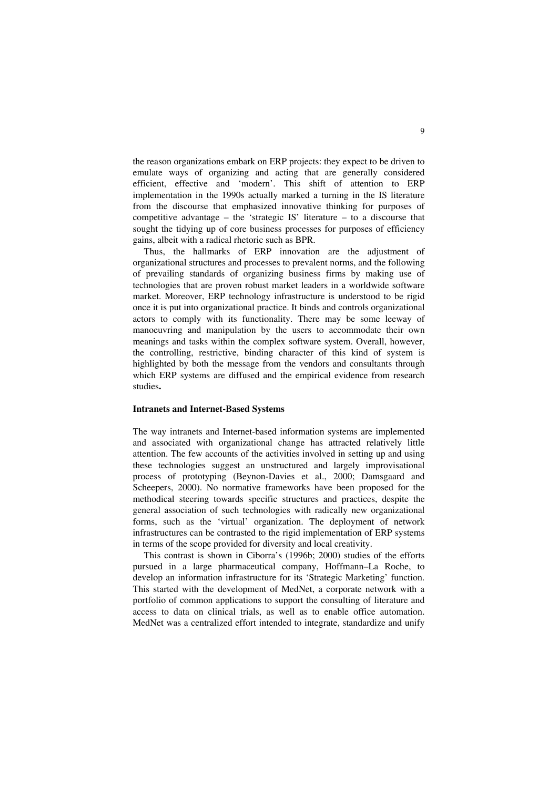the reason organizations embark on ERP projects: they expect to be driven to emulate ways of organizing and acting that are generally considered efficient, effective and 'modern'. This shift of attention to ERP implementation in the 1990s actually marked a turning in the IS literature from the discourse that emphasized innovative thinking for purposes of competitive advantage – the 'strategic IS' literature – to a discourse that sought the tidying up of core business processes for purposes of efficiency gains, albeit with a radical rhetoric such as BPR.

 Thus, the hallmarks of ERP innovation are the adjustment of organizational structures and processes to prevalent norms, and the following of prevailing standards of organizing business firms by making use of technologies that are proven robust market leaders in a worldwide software market. Moreover, ERP technology infrastructure is understood to be rigid once it is put into organizational practice. It binds and controls organizational actors to comply with its functionality. There may be some leeway of manoeuvring and manipulation by the users to accommodate their own meanings and tasks within the complex software system. Overall, however, the controlling, restrictive, binding character of this kind of system is highlighted by both the message from the vendors and consultants through which ERP systems are diffused and the empirical evidence from research studies**.**

#### **Intranets and Internet-Based Systems**

The way intranets and Internet-based information systems are implemented and associated with organizational change has attracted relatively little attention. The few accounts of the activities involved in setting up and using these technologies suggest an unstructured and largely improvisational process of prototyping (Beynon-Davies et al., 2000; Damsgaard and Scheepers, 2000). No normative frameworks have been proposed for the methodical steering towards specific structures and practices, despite the general association of such technologies with radically new organizational forms, such as the 'virtual' organization. The deployment of network infrastructures can be contrasted to the rigid implementation of ERP systems in terms of the scope provided for diversity and local creativity.

 This contrast is shown in Ciborra's (1996b; 2000) studies of the efforts pursued in a large pharmaceutical company, Hoffmann–La Roche, to develop an information infrastructure for its 'Strategic Marketing' function. This started with the development of MedNet, a corporate network with a portfolio of common applications to support the consulting of literature and access to data on clinical trials, as well as to enable office automation. MedNet was a centralized effort intended to integrate, standardize and unify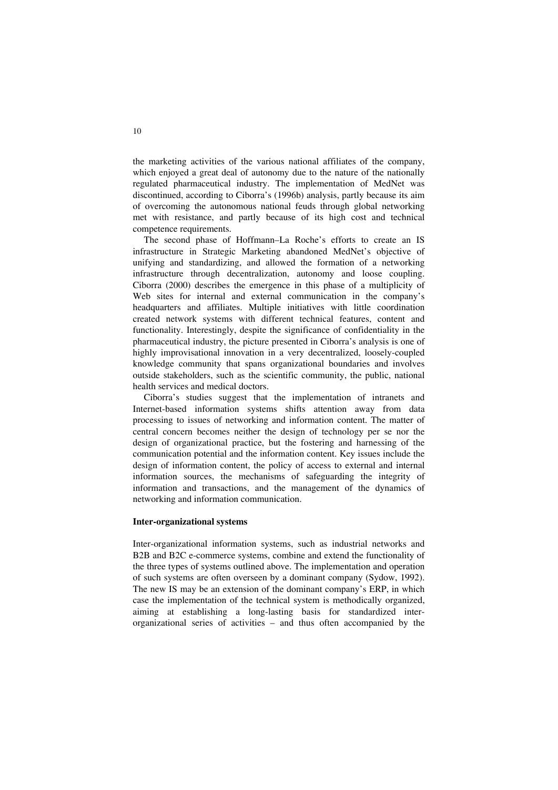the marketing activities of the various national affiliates of the company, which enjoyed a great deal of autonomy due to the nature of the nationally regulated pharmaceutical industry. The implementation of MedNet was discontinued, according to Ciborra's (1996b) analysis, partly because its aim of overcoming the autonomous national feuds through global networking met with resistance, and partly because of its high cost and technical competence requirements.

 The second phase of Hoffmann–La Roche's efforts to create an IS infrastructure in Strategic Marketing abandoned MedNet's objective of unifying and standardizing, and allowed the formation of a networking infrastructure through decentralization, autonomy and loose coupling. Ciborra (2000) describes the emergence in this phase of a multiplicity of Web sites for internal and external communication in the company's headquarters and affiliates. Multiple initiatives with little coordination created network systems with different technical features, content and functionality. Interestingly, despite the significance of confidentiality in the pharmaceutical industry, the picture presented in Ciborra's analysis is one of highly improvisational innovation in a very decentralized, loosely-coupled knowledge community that spans organizational boundaries and involves outside stakeholders, such as the scientific community, the public, national health services and medical doctors.

 Ciborra's studies suggest that the implementation of intranets and Internet-based information systems shifts attention away from data processing to issues of networking and information content. The matter of central concern becomes neither the design of technology per se nor the design of organizational practice, but the fostering and harnessing of the communication potential and the information content. Key issues include the design of information content, the policy of access to external and internal information sources, the mechanisms of safeguarding the integrity of information and transactions, and the management of the dynamics of networking and information communication.

#### **Inter-organizational systems**

Inter-organizational information systems, such as industrial networks and B2B and B2C e-commerce systems, combine and extend the functionality of the three types of systems outlined above. The implementation and operation of such systems are often overseen by a dominant company (Sydow, 1992). The new IS may be an extension of the dominant company's ERP, in which case the implementation of the technical system is methodically organized, aiming at establishing a long-lasting basis for standardized interorganizational series of activities – and thus often accompanied by the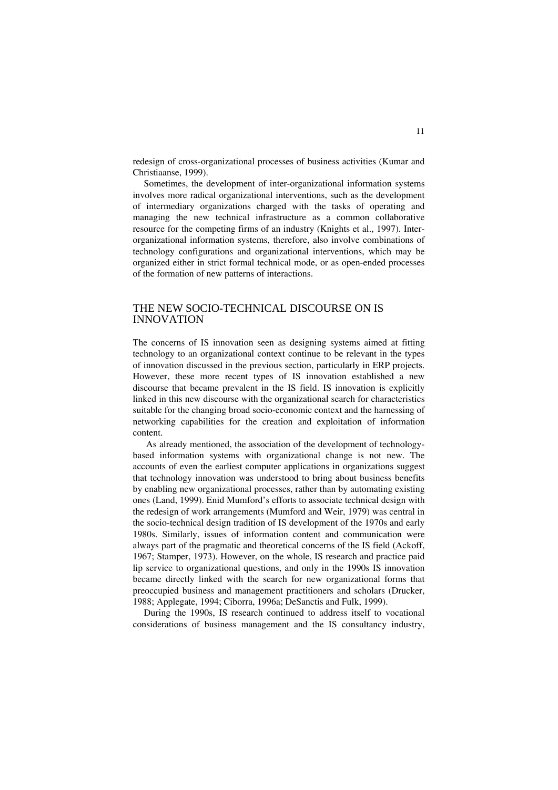redesign of cross-organizational processes of business activities (Kumar and Christiaanse, 1999).

 Sometimes, the development of inter-organizational information systems involves more radical organizational interventions, such as the development of intermediary organizations charged with the tasks of operating and managing the new technical infrastructure as a common collaborative resource for the competing firms of an industry (Knights et al., 1997). Interorganizational information systems, therefore, also involve combinations of technology configurations and organizational interventions, which may be organized either in strict formal technical mode, or as open-ended processes of the formation of new patterns of interactions.

#### THE NEW SOCIO-TECHNICAL DISCOURSE ON IS INNOVATION

The concerns of IS innovation seen as designing systems aimed at fitting technology to an organizational context continue to be relevant in the types of innovation discussed in the previous section, particularly in ERP projects. However, these more recent types of IS innovation established a new discourse that became prevalent in the IS field. IS innovation is explicitly linked in this new discourse with the organizational search for characteristics suitable for the changing broad socio-economic context and the harnessing of networking capabilities for the creation and exploitation of information content.

As already mentioned, the association of the development of technologybased information systems with organizational change is not new. The accounts of even the earliest computer applications in organizations suggest that technology innovation was understood to bring about business benefits by enabling new organizational processes, rather than by automating existing ones (Land, 1999). Enid Mumford's efforts to associate technical design with the redesign of work arrangements (Mumford and Weir, 1979) was central in the socio-technical design tradition of IS development of the 1970s and early 1980s. Similarly, issues of information content and communication were always part of the pragmatic and theoretical concerns of the IS field (Ackoff, 1967; Stamper, 1973). However, on the whole, IS research and practice paid lip service to organizational questions, and only in the 1990s IS innovation became directly linked with the search for new organizational forms that preoccupied business and management practitioners and scholars (Drucker, 1988; Applegate, 1994; Ciborra, 1996a; DeSanctis and Fulk, 1999).

During the 1990s, IS research continued to address itself to vocational considerations of business management and the IS consultancy industry,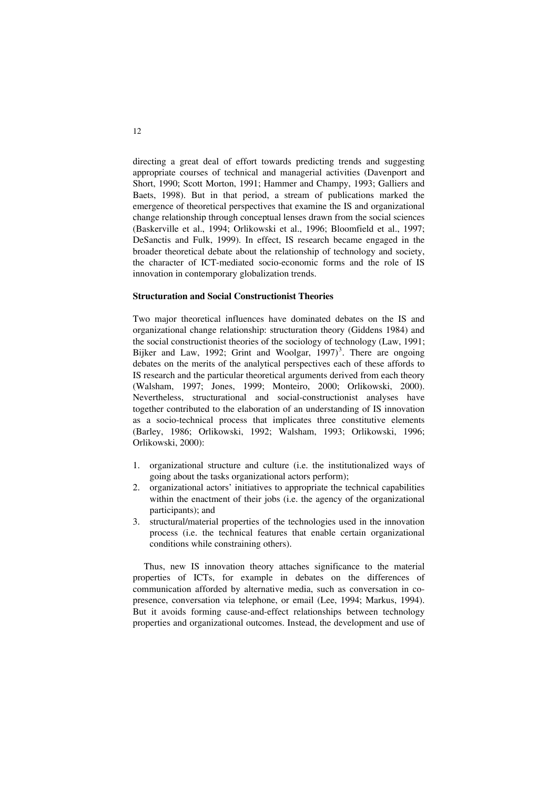directing a great deal of effort towards predicting trends and suggesting appropriate courses of technical and managerial activities (Davenport and Short, 1990; Scott Morton, 1991; Hammer and Champy, 1993; Galliers and Baets, 1998). But in that period, a stream of publications marked the emergence of theoretical perspectives that examine the IS and organizational change relationship through conceptual lenses drawn from the social sciences (Baskerville et al., 1994; Orlikowski et al., 1996; Bloomfield et al., 1997; DeSanctis and Fulk, 1999). In effect, IS research became engaged in the broader theoretical debate about the relationship of technology and society, the character of ICT-mediated socio-economic forms and the role of IS innovation in contemporary globalization trends.

#### **Structuration and Social Constructionist Theories**

Two major theoretical influences have dominated debates on the IS and organizational change relationship: structuration theory (Giddens 1984) and the social constructionist theories of the sociology of technology (Law, 1991; Bijker and Law, 1992; Grint and Woolgar,  $1997)^3$  $1997)^3$ . There are ongoing debates on the merits of the analytical perspectives each of these affords to IS research and the particular theoretical arguments derived from each theory (Walsham, 1997; Jones, 1999; Monteiro, 2000; Orlikowski, 2000). Nevertheless, structurational and social-constructionist analyses have together contributed to the elaboration of an understanding of IS innovation as a socio-technical process that implicates three constitutive elements (Barley, 1986; Orlikowski, 1992; Walsham, 1993; Orlikowski, 1996; Orlikowski, 2000):

- 1. organizational structure and culture (i.e. the institutionalized ways of going about the tasks organizational actors perform);
- 2. organizational actors' initiatives to appropriate the technical capabilities within the enactment of their jobs (i.e. the agency of the organizational participants); and
- 3. structural/material properties of the technologies used in the innovation process (i.e. the technical features that enable certain organizational conditions while constraining others).

 Thus, new IS innovation theory attaches significance to the material properties of ICTs, for example in debates on the differences of communication afforded by alternative media, such as conversation in copresence, conversation via telephone, or email (Lee, 1994; Markus, 1994). But it avoids forming cause-and-effect relationships between technology properties and organizational outcomes. Instead, the development and use of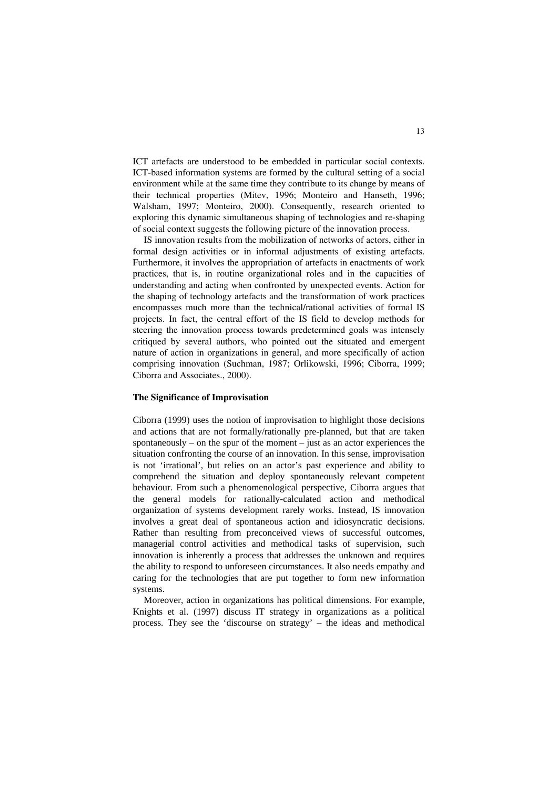ICT artefacts are understood to be embedded in particular social contexts. ICT-based information systems are formed by the cultural setting of a social environment while at the same time they contribute to its change by means of their technical properties (Mitev, 1996; Monteiro and Hanseth, 1996; Walsham, 1997; Monteiro, 2000). Consequently, research oriented to exploring this dynamic simultaneous shaping of technologies and re-shaping of social context suggests the following picture of the innovation process.

 IS innovation results from the mobilization of networks of actors, either in formal design activities or in informal adjustments of existing artefacts. Furthermore, it involves the appropriation of artefacts in enactments of work practices, that is, in routine organizational roles and in the capacities of understanding and acting when confronted by unexpected events. Action for the shaping of technology artefacts and the transformation of work practices encompasses much more than the technical/rational activities of formal IS projects. In fact, the central effort of the IS field to develop methods for steering the innovation process towards predetermined goals was intensely critiqued by several authors, who pointed out the situated and emergent nature of action in organizations in general, and more specifically of action comprising innovation (Suchman, 1987; Orlikowski, 1996; Ciborra, 1999; Ciborra and Associates., 2000).

#### **The Significance of Improvisation**

Ciborra (1999) uses the notion of improvisation to highlight those decisions and actions that are not formally/rationally pre-planned, but that are taken spontaneously – on the spur of the moment – just as an actor experiences the situation confronting the course of an innovation. In this sense, improvisation is not 'irrational', but relies on an actor's past experience and ability to comprehend the situation and deploy spontaneously relevant competent behaviour. From such a phenomenological perspective, Ciborra argues that the general models for rationally-calculated action and methodical organization of systems development rarely works. Instead, IS innovation involves a great deal of spontaneous action and idiosyncratic decisions. Rather than resulting from preconceived views of successful outcomes, managerial control activities and methodical tasks of supervision, such innovation is inherently a process that addresses the unknown and requires the ability to respond to unforeseen circumstances. It also needs empathy and caring for the technologies that are put together to form new information systems.

 Moreover, action in organizations has political dimensions. For example, Knights et al. (1997) discuss IT strategy in organizations as a political process. They see the 'discourse on strategy' – the ideas and methodical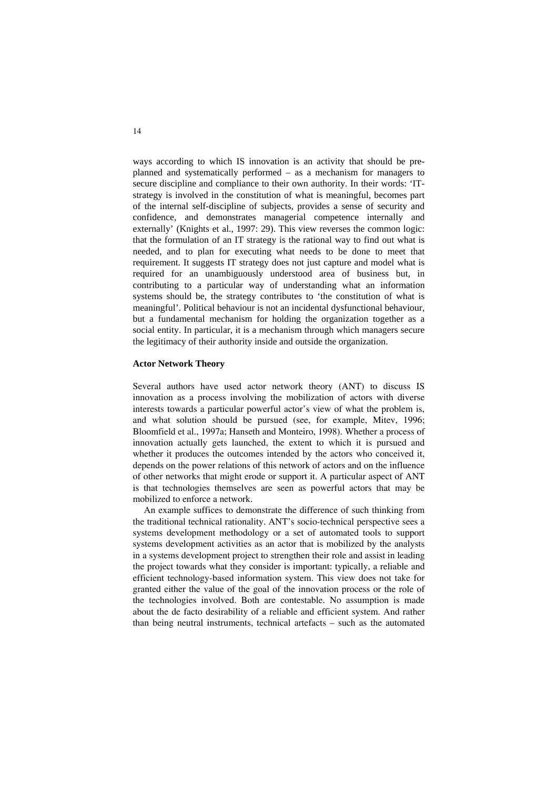ways according to which IS innovation is an activity that should be preplanned and systematically performed – as a mechanism for managers to secure discipline and compliance to their own authority. In their words: 'ITstrategy is involved in the constitution of what is meaningful, becomes part of the internal self-discipline of subjects, provides a sense of security and confidence, and demonstrates managerial competence internally and externally' (Knights et al., 1997: 29). This view reverses the common logic: that the formulation of an IT strategy is the rational way to find out what is needed, and to plan for executing what needs to be done to meet that requirement. It suggests IT strategy does not just capture and model what is required for an unambiguously understood area of business but, in contributing to a particular way of understanding what an information systems should be, the strategy contributes to 'the constitution of what is meaningful'. Political behaviour is not an incidental dysfunctional behaviour, but a fundamental mechanism for holding the organization together as a social entity. In particular, it is a mechanism through which managers secure the legitimacy of their authority inside and outside the organization.

#### **Actor Network Theory**

Several authors have used actor network theory (ANT) to discuss IS innovation as a process involving the mobilization of actors with diverse interests towards a particular powerful actor's view of what the problem is, and what solution should be pursued (see, for example, Mitev, 1996; Bloomfield et al., 1997a; Hanseth and Monteiro, 1998). Whether a process of innovation actually gets launched, the extent to which it is pursued and whether it produces the outcomes intended by the actors who conceived it, depends on the power relations of this network of actors and on the influence of other networks that might erode or support it. A particular aspect of ANT is that technologies themselves are seen as powerful actors that may be mobilized to enforce a network.

 An example suffices to demonstrate the difference of such thinking from the traditional technical rationality. ANT's socio-technical perspective sees a systems development methodology or a set of automated tools to support systems development activities as an actor that is mobilized by the analysts in a systems development project to strengthen their role and assist in leading the project towards what they consider is important: typically, a reliable and efficient technology-based information system. This view does not take for granted either the value of the goal of the innovation process or the role of the technologies involved. Both are contestable. No assumption is made about the de facto desirability of a reliable and efficient system. And rather than being neutral instruments, technical artefacts – such as the automated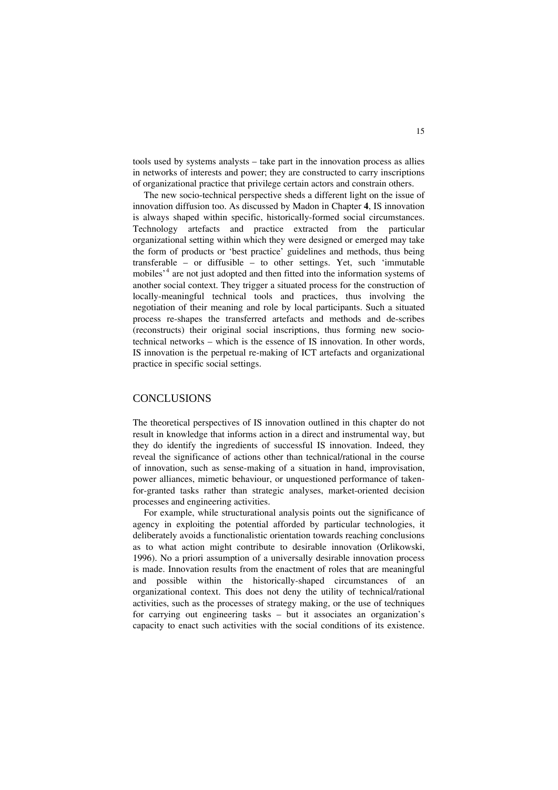tools used by systems analysts – take part in the innovation process as allies in networks of interests and power; they are constructed to carry inscriptions of organizational practice that privilege certain actors and constrain others.

 The new socio-technical perspective sheds a different light on the issue of innovation diffusion too. As discussed by Madon in Chapter **4**, IS innovation is always shaped within specific, historically-formed social circumstances. Technology artefacts and practice extracted from the particular organizational setting within which they were designed or emerged may take the form of products or 'best practice' guidelines and methods, thus being transferable – or diffusible – to other settings. Yet, such 'immutable mobiles<sup>, [4](#page-21-1)</sup> are not just adopted and then fitted into the information systems of another social context. They trigger a situated process for the construction of locally-meaningful technical tools and practices, thus involving the negotiation of their meaning and role by local participants. Such a situated process re-shapes the transferred artefacts and methods and de-scribes (reconstructs) their original social inscriptions, thus forming new sociotechnical networks – which is the essence of IS innovation. In other words, IS innovation is the perpetual re-making of ICT artefacts and organizational practice in specific social settings.

#### **CONCLUSIONS**

The theoretical perspectives of IS innovation outlined in this chapter do not result in knowledge that informs action in a direct and instrumental way, but they do identify the ingredients of successful IS innovation. Indeed, they reveal the significance of actions other than technical/rational in the course of innovation, such as sense-making of a situation in hand, improvisation, power alliances, mimetic behaviour, or unquestioned performance of takenfor-granted tasks rather than strategic analyses, market-oriented decision processes and engineering activities.

 For example, while structurational analysis points out the significance of agency in exploiting the potential afforded by particular technologies, it deliberately avoids a functionalistic orientation towards reaching conclusions as to what action might contribute to desirable innovation (Orlikowski, 1996). No a priori assumption of a universally desirable innovation process is made. Innovation results from the enactment of roles that are meaningful and possible within the historically-shaped circumstances of an organizational context. This does not deny the utility of technical/rational activities, such as the processes of strategy making, or the use of techniques for carrying out engineering tasks – but it associates an organization's capacity to enact such activities with the social conditions of its existence.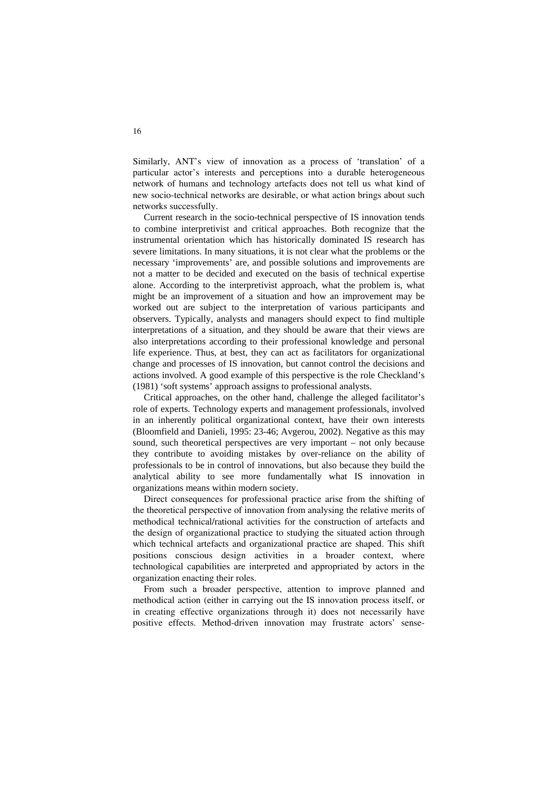Similarly, ANT's view of innovation as a process of 'translation' of a particular actor's interests and perceptions into a durable heterogeneous network of humans and technology artefacts does not tell us what kind of new socio-technical networks are desirable, or what action brings about such networks successfully.

 Current research in the socio-technical perspective of IS innovation tends to combine interpretivist and critical approaches. Both recognize that the instrumental orientation which has historically dominated IS research has severe limitations. In many situations, it is not clear what the problems or the necessary 'improvements' are, and possible solutions and improvements are not a matter to be decided and executed on the basis of technical expertise alone. According to the interpretivist approach, what the problem is, what might be an improvement of a situation and how an improvement may be worked out are subject to the interpretation of various participants and observers. Typically, analysts and managers should expect to find multiple interpretations of a situation, and they should be aware that their views are also interpretations according to their professional knowledge and personal life experience. Thus, at best, they can act as facilitators for organizational change and processes of IS innovation, but cannot control the decisions and actions involved. A good example of this perspective is the role Checkland's (1981) 'soft systems' approach assigns to professional analysts.

 Critical approaches, on the other hand, challenge the alleged facilitator's role of experts. Technology experts and management professionals, involved in an inherently political organizational context, have their own interests (Bloomfield and Danieli, 1995: 23-46; Avgerou, 2002). Negative as this may sound, such theoretical perspectives are very important – not only because they contribute to avoiding mistakes by over-reliance on the ability of professionals to be in control of innovations, but also because they build the analytical ability to see more fundamentally what IS innovation in organizations means within modern society.

 Direct consequences for professional practice arise from the shifting of the theoretical perspective of innovation from analysing the relative merits of methodical technical/rational activities for the construction of artefacts and the design of organizational practice to studying the situated action through which technical artefacts and organizational practice are shaped. This shift positions conscious design activities in a broader context, where technological capabilities are interpreted and appropriated by actors in the organization enacting their roles.

From such a broader perspective, attention to improve planned and methodical action (either in carrying out the IS innovation process itself, or in creating effective organizations through it) does not necessarily have positive effects. Method-driven innovation may frustrate actors' sense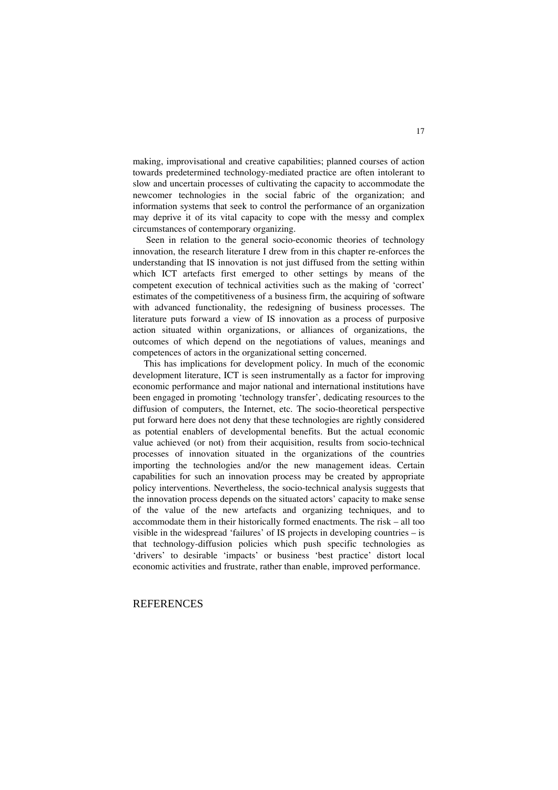making, improvisational and creative capabilities; planned courses of action towards predetermined technology-mediated practice are often intolerant to slow and uncertain processes of cultivating the capacity to accommodate the newcomer technologies in the social fabric of the organization; and information systems that seek to control the performance of an organization may deprive it of its vital capacity to cope with the messy and complex circumstances of contemporary organizing.

Seen in relation to the general socio-economic theories of technology innovation, the research literature I drew from in this chapter re-enforces the understanding that IS innovation is not just diffused from the setting within which ICT artefacts first emerged to other settings by means of the competent execution of technical activities such as the making of 'correct' estimates of the competitiveness of a business firm, the acquiring of software with advanced functionality, the redesigning of business processes. The literature puts forward a view of IS innovation as a process of purposive action situated within organizations, or alliances of organizations, the outcomes of which depend on the negotiations of values, meanings and competences of actors in the organizational setting concerned.

 This has implications for development policy. In much of the economic development literature, ICT is seen instrumentally as a factor for improving economic performance and major national and international institutions have been engaged in promoting 'technology transfer', dedicating resources to the diffusion of computers, the Internet, etc. The socio-theoretical perspective put forward here does not deny that these technologies are rightly considered as potential enablers of developmental benefits. But the actual economic value achieved (or not) from their acquisition, results from socio-technical processes of innovation situated in the organizations of the countries importing the technologies and/or the new management ideas. Certain capabilities for such an innovation process may be created by appropriate policy interventions. Nevertheless, the socio-technical analysis suggests that the innovation process depends on the situated actors' capacity to make sense of the value of the new artefacts and organizing techniques, and to accommodate them in their historically formed enactments. The risk – all too visible in the widespread 'failures' of IS projects in developing countries – is that technology-diffusion policies which push specific technologies as 'drivers' to desirable 'impacts' or business 'best practice' distort local economic activities and frustrate, rather than enable, improved performance.

#### **REFERENCES**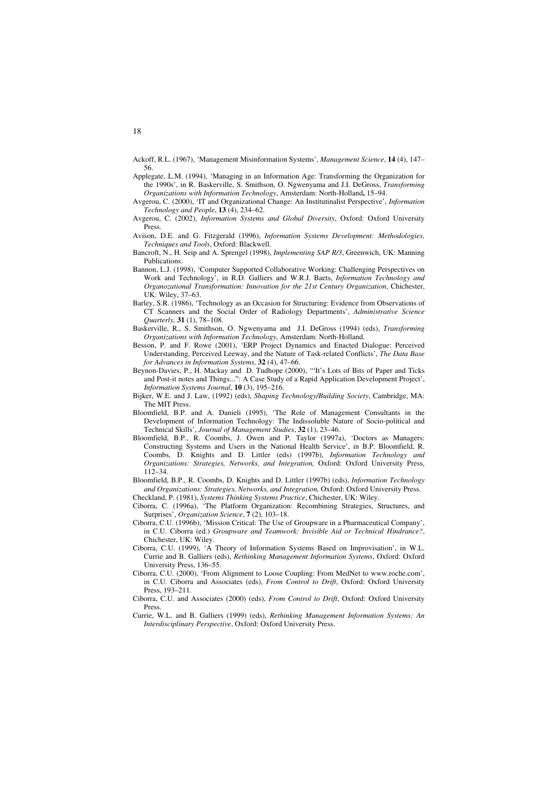Ackoff, R.L. (1967), 'Management Misinformation Systems', *Management Science*, **14** (4), 147– 56.

- Applegate, L.M. (1994), 'Managing in an Information Age: Transforming the Organization for the 1990s', in R. Baskerville, S. Smithson, O. Ngwenyama and J.I. DeGross, *Transforming Organizations with Information Technology*, Amsterdam: North-Holland**,** 15–94.
- Avgerou, C. (2000), 'IT and Organizational Change: An Institutinalist Perspective', *Information Technology and People*, **13** (4), 234–62.
- Avgerou, C. (2002), *Information Systems and Global Diversity*, Oxford: Oxford University Press.
- Avison, D.E. and G. Fitzgerald (1996), *Information Systems Development: Methodologies, Techniques and Tools*, Oxford: Blackwell.
- Bancroft, N., H. Seip and A. Sprengel (1998), *Implementing SAP R/3*, Greenwich, UK: Manning Publications.
- Bannon, L.J. (1998), 'Computer Supported Collaborative Working: Challenging Perspectives on Work and Technology', in R.D. Galliers and W.R.J. Baets, *Information Technology and Organozational Transformation: Innovation for the 21st Century Organization*, Chichester, UK: Wiley, 37–63.
- Barley, S.R. (1986), 'Technology as an Occasion for Structuring: Evidence from Observations of CT Scanners and the Social Order of Radiology Departments', *Administrative Science Quarterly,* **31** (1), 78–108.
- Baskerville, R., S. Smithson, O. Ngwenyama and J.I. DeGross (1994) (eds), *Transforming Organizations with Information Technology,* Amsterdam: North-Holland.
- Besson, P. and F. Rowe (2001), 'ERP Project Dynamics and Enacted Dialogue: Perceived Understanding, Perceived Leeway, and the Nature of Task-related Conflicts', *The Data Base for Advances in Information Systems,* **32** (4), 47–66.
- Beynon-Davies, P., H. Mackay and D. Tudhope (2000), '"It's Lots of Bits of Paper and Ticks and Post-it notes and Things...": A Case Study of a Rapid Application Development Project', *Information Systems Journal*, **10** (3), 195–216.
- Bijker, W.E. and J. Law, (1992) (eds), *Shaping Technology/Building Society*, Cambridge, MA: The MIT Press.
- Bloomfield, B.P. and A. Danieli (1995), 'The Role of Management Consultants in the Development of Information Technology: The Indissoluble Nature of Socio-political and Technical Skills', *Journal of Management Studies*, **32** (1), 23–46.
- Bloomfield, B.P., R. Coombs, J. Owen and P. Taylor (1997a), 'Doctors as Managers: Constructing Systems and Users in the National Health Service', in B.P. Bloomfield, R. Coombs, D. Knights and D. Littler (eds) (1997b), *Information Technology and Organizations: Strategies, Networks, and Integration,* Oxford: Oxford University Press, 112–34.
- Bloomfield, B.P., R. Coombs, D. Knights and D. Littler (1997b) (eds), *Information Technology and Organizations: Strategies, Networks, and Integration,* Oxford: Oxford University Press. Checkland, P. (1981), *Systems Thinking Systems Practice*, Chichester, UK: Wiley.
- Ciborra, C. (1996a), 'The Platform Organization: Recombining Strategies, Structures, and Surprises', *Organization Science*, **7** (2), 103–18.
- Ciborra, C.U. (1996b), 'Mission Critical: The Use of Groupware in a Pharmaceutical Company', in C.U. Ciborra (ed.) *Groupware and Teamwork: Invisible Aid or Technical Hindrance?*, Chichester, UK: Wiley.
- Ciborra, C.U. (1999), 'A Theory of Information Systems Based on Improvisation', in W.L. Currie and B. Galliers (eds), *Rethinking Management Information Systems*, Oxford: Oxford University Press, 136–55.
- Ciborra, C.U. (2000), 'From Alignment to Loose Coupling: From MedNet to www.roche.com', in C.U. Ciborra and Associates (eds), *From Control to Drift*, Oxford: Oxford University Press, 193–211.
- Ciborra, C.U. and Associates (2000) (eds), *From Control to Drift*, Oxford: Oxford University **Press**
- Currie, W.L. and B. Galliers (1999) (eds), *Rethinking Management Information Systems: An Interdisciplinary Perspective*, Oxford: Oxford University Press.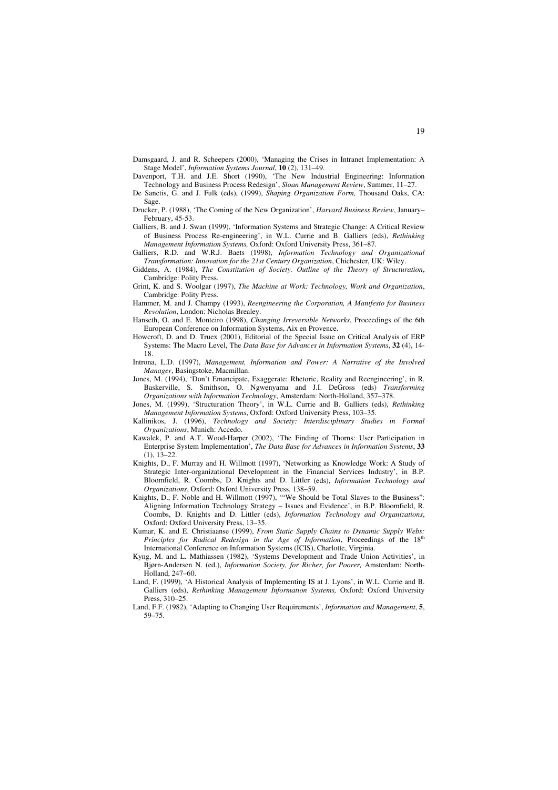- Damsgaard, J. and R. Scheepers (2000), 'Managing the Crises in Intranet Implementation: A Stage Model', *Information Systems Journal*, **10** (2), 131–49.
- Davenport, T.H. and J.E. Short (1990), 'The New Industrial Engineering: Information Technology and Business Process Redesign', *Sloan Management Review*, Summer, 11–27.
- De Sanctis, G. and J. Fulk (eds), (1999), *Shaping Organization Form,* Thousand Oaks, CA: Sage.
- Drucker, P. (1988), 'The Coming of the New Organization', *Harvard Business Review*, January– February, 45-53.
- Galliers, B. and J. Swan (1999), 'Information Systems and Strategic Change: A Critical Review of Business Process Re-engineering', in W.L. Currie and B. Galliers (eds), *Rethinking Management Information Systems,* Oxford: Oxford University Press, 361–87.
- Galliers, R.D. and W.R.J. Baets (1998), *Information Technology and Organizational Transformation: Innovation for the 21st Century Organization*, Chichester, UK: Wiley.
- Giddens, A. (1984), *The Constitution of Society. Outline of the Theory of Structuration*, Cambridge: Polity Press.
- Grint, K. and S. Woolgar (1997), *The Machine at Work: Technology, Work and Organization*, Cambridge: Polity Press.
- Hammer, M. and J. Champy (1993), *Reengineering the Corporation, A Manifesto for Business Revolution*, London: Nicholas Brealey.
- Hanseth, O. and E. Monteiro (1998), *Changing Irreversible Networks*, Proceedings of the 6th European Conference on Information Systems, Aix en Provence.
- Howcroft, D. and D. Truex (2001), Editorial of the Special Issue on Critical Analysis of ERP Systems: The Macro Level, The *Data Base for Advances in Information Systems*, **32** (4), 14- 18.
- Introna, L.D. (1997), *Management, Information and Power: A Narrative of the Involved Manager*, Basingstoke, Macmillan.
- Jones, M. (1994), 'Don't Emancipate, Exaggerate: Rhetoric, Reality and Reengineering', in R. Baskerville, S. Smithson, O. Ngwenyama and J.I. DeGross (eds) *Transforming Organizations with Information Technology*, Amsterdam: North-Holland, 357–378.
- Jones, M. (1999), 'Structuration Theory', in W.L. Currie and B. Galliers (eds), *Rethinking Management Information Systems*, Oxford: Oxford University Press, 103–35.
- Kallinikos, J. (1996), *Technology and Society: Interdisciplinary Studies in Formal Organizations*, Munich: Accedo.
- Kawalek, P. and A.T. Wood-Harper (2002), 'The Finding of Thorns: User Participation in Enterprise System Implementation', *The Data Base for Advances in Information Systems*, **33**   $(1), 13-22.$
- Knights, D., F. Murray and H. Willmott (1997), 'Networking as Knowledge Work: A Study of Strategic Inter-organizational Development in the Financial Services Industry', in B.P. Bloomfield, R. Coombs, D. Knights and D. Littler (eds), *Information Technology and Organizations*, Oxford: Oxford University Press, 138–59.
- Knights, D., F. Noble and H. Willmott (1997), "'We Should be Total Slaves to the Business": Aligning Information Technology Strategy – Issues and Evidence', in B.P. Bloomfield, R. Coombs, D. Knights and D. Littler (eds), *Information Technology and Organizations*, Oxford: Oxford University Press, 13–35.
- Kumar, K. and E. Christiaanse (1999), *From Static Supply Chains to Dynamic Supply Webs: Principles for Radical Redesign in the Age of Information*, Proceedings of the 18<sup>th</sup> International Conference on Information Systems (ICIS), Charlotte, Virginia.
- Kyng, M. and L. Mathiassen (1982), 'Systems Development and Trade Union Activities', in Bjørn-Andersen N. (ed.), *Information Society, for Richer, for Poorer,* Amsterdam: North-Holland, 247–60.
- Land, F. (1999), 'A Historical Analysis of Implementing IS at J. Lyons', in W.L. Currie and B. Galliers (eds), *Rethinking Management Information Systems,* Oxford: Oxford University Press, 310–25.
- Land, F.F. (1982), 'Adapting to Changing User Requirements', *Information and Management*, **5**, 59–75.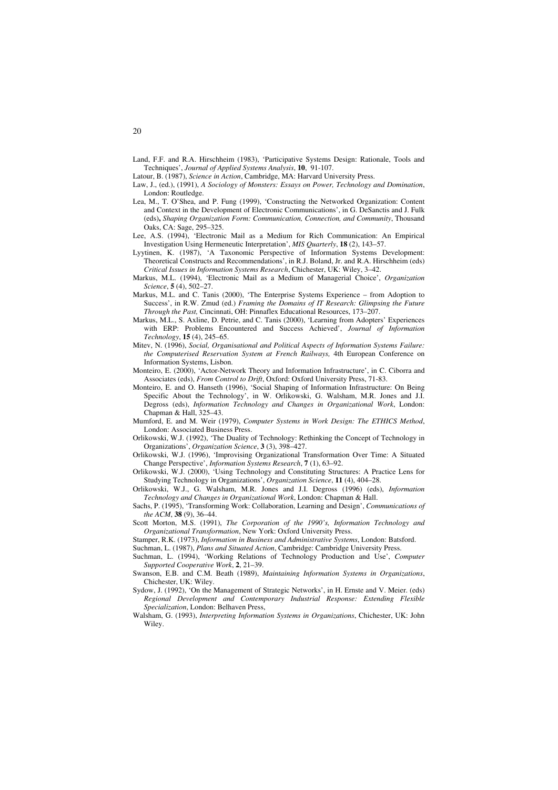- Land, F.F. and R.A. Hirschheim (1983), 'Participative Systems Design: Rationale, Tools and Techniques', *Journal of Applied Systems Analysis*, **10**, 91-107.
- Latour, B. (1987), *Science in Action*, Cambridge, MA: Harvard University Press.
- Law, J., (ed.), (1991), *A Sociology of Monsters: Essays on Power, Technology and Domination*, London: Routledge.
- Lea, M., T. O'Shea, and P. Fung (1999), 'Constructing the Networked Organization: Content and Context in the Development of Electronic Communications', in G. DeSanctis and J. Fulk (eds)**,** *Shaping Organization Form: Communication, Connection, and Community*, Thousand Oaks, CA: Sage, 295–325.
- Lee, A.S. (1994), 'Electronic Mail as a Medium for Rich Communication: An Empirical Investigation Using Hermeneutic Interpretation', *MIS Quarterly*, **18** (2), 143–57.
- Lyytinen, K. (1987), 'A Taxonomic Perspective of Information Systems Development: Theoretical Constructs and Recommendations', in R.J. Boland, Jr. and R.A. Hirschheim (eds) *Critical Issues in Information Systems Research*, Chichester, UK: Wiley, 3–42.
- Markus, M.L. (1994), 'Electronic Mail as a Medium of Managerial Choice', *Organization Science*, **5** (4), 502–27.
- Markus, M.L. and C. Tanis (2000), 'The Enterprise Systems Experience from Adoption to Success', in R.W. Zmud (ed.) *Framing the Domains of IT Research: Glimpsing the Future Through the Past,* Cincinnati, OH: Pinnaflex Educational Resources, 173–207.
- Markus, M.L., S. Axline, D. Petrie, and C. Tanis (2000), 'Learning from Adopters' Experiences with ERP: Problems Encountered and Success Achieved', *Journal of Information Technology*, **15** (4), 245–65.
- Mitev, N. (1996), *Social, Organisational and Political Aspects of Information Systems Failure: the Computerised Reservation System at French Railways,* 4th European Conference on Information Systems, Lisbon.
- Monteiro, E. (2000), 'Actor-Network Theory and Information Infrastructure', in C. Ciborra and Associates (eds), *From Control to Drift*, Oxford: Oxford University Press, 71-83.
- Monteiro, E. and O. Hanseth (1996), 'Social Shaping of Information Infrastructure: On Being Specific About the Technology', in W. Orlikowski, G. Walsham, M.R. Jones and J.I. Degross (eds), *Information Technology and Changes in Organizational Work*, London: Chapman & Hall, 325–43.
- Mumford, E. and M. Weir (1979), *Computer Systems in Work Design: The ETHICS Method*, London: Associated Business Press.
- Orlikowski, W.J. (1992), 'The Duality of Technology: Rethinking the Concept of Technology in Organizations', *Organization Science*, **3** (3), 398–427.
- Orlikowski, W.J. (1996), 'Improvising Organizational Transformation Over Time: A Situated Change Perspective', *Information Systems Research*, **7** (1), 63–92.
- Orlikowski, W.J. (2000), 'Using Technology and Constituting Structures: A Practice Lens for Studying Technology in Organizations', *Organization Science*, **11** (4), 404–28.
- Orlikowski, W.J., G. Walsham, M.R. Jones and J.I. Degross (1996) (eds), *Information Technology and Changes in Organizational Work*, London: Chapman & Hall.
- Sachs, P. (1995), 'Transforming Work: Collaboration, Learning and Design', *Communications of the ACM*, **38** (9), 36–44.
- Scott Morton, M.S. (1991), *The Corporation of the 1990's, Information Technology and Organizational Transformation*, New York: Oxford University Press.

Stamper, R.K. (1973), *Information in Business and Administrative Systems*, London: Batsford.

- Suchman, L. (1987), *Plans and Situated Action*, Cambridge: Cambridge University Press.
- Suchman, L. (1994), 'Working Relations of Technology Production and Use', *Computer Supported Cooperative Work*, **2**, 21–39.
- Swanson, E.B. and C.M. Beath (1989), *Maintaining Information Systems in Organizations*, Chichester, UK: Wiley.
- Sydow, J. (1992), 'On the Management of Strategic Networks', in H. Ernste and V. Meier. (eds) *Regional Development and Contemporary Industrial Response: Extending Flexible Specialization*, London: Belhaven Press,
- Walsham, G. (1993), *Interpreting Information Systems in Organizations*, Chichester, UK: John Wiley.